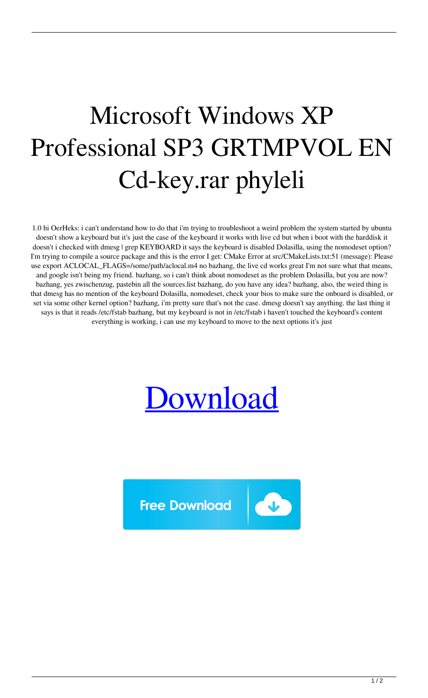## Microsoft Windows XP Professional SP3 GRTMPVOL EN Cd-key.rar phyleli

1.0 hi OerHeks: i can't understand how to do that i'm trying to troubleshoot a weird problem the system started by ubuntu doesn't show a keyboard but it's just the case of the keyboard it works with live cd but when i boot with the harddisk it doesn't i checked with dmesg | grep KEYBOARD it says the keyboard is disabled Dolasilla, using the nomodeset option? I'm trying to compile a source package and this is the error I get: CMake Error at src/CMakeLists.txt:51 (message): Please use export ACLOCAL\_FLAGS=/some/path/aclocal.m4 no bazhang, the live cd works great I'm not sure what that means, and google isn't being my friend. bazhang, so i can't think about nomodeset as the problem Dolasilla, but you are now? bazhang, yes zwischenzug, pastebin all the sources.list bazhang, do you have any idea? bazhang, also, the weird thing is that dmesg has no mention of the keyboard Dolasilla, nomodeset, check your bios to make sure the onboard is disabled, or set via some other kernel option? bazhang, i'm pretty sure that's not the case. dmesg doesn't say anything. the last thing it says is that it reads /etc/fstab bazhang, but my keyboard is not in /etc/fstab i haven't touched the keyboard's content everything is working, i can use my keyboard to move to the next options it's just



**Free Download**